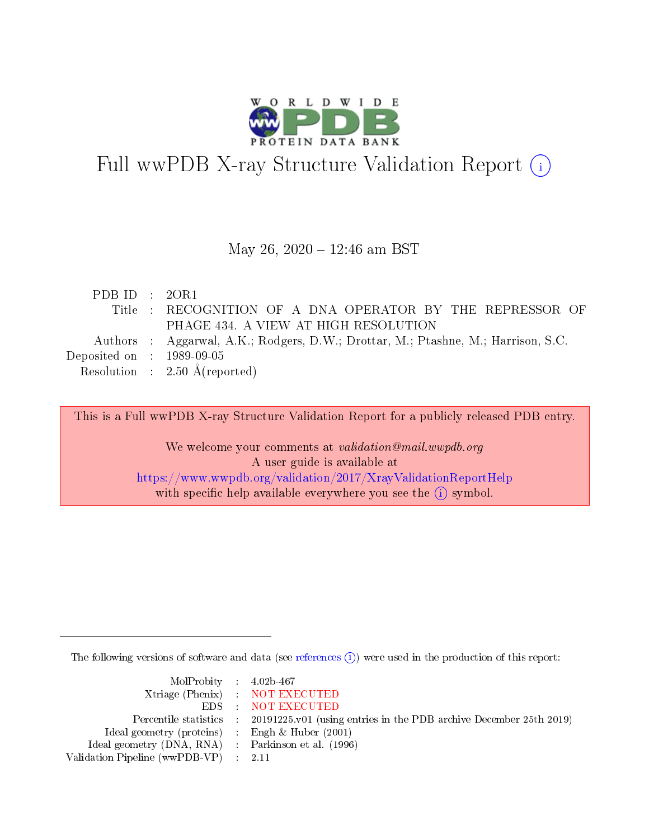

# Full wwPDB X-ray Structure Validation Report (i)

#### May 26, 2020 - 12:46 am BST

| PDB ID : $2OR1$             |                                                                                   |
|-----------------------------|-----------------------------------------------------------------------------------|
|                             | Title : RECOGNITION OF A DNA OPERATOR BY THE REPRESSOR OF                         |
|                             | PHAGE 434. A VIEW AT HIGH RESOLUTION                                              |
|                             | Authors : Aggarwal, A.K.; Rodgers, D.W.; Drottar, M.; Ptashne, M.; Harrison, S.C. |
| Deposited on : $1989-09-05$ |                                                                                   |
|                             | Resolution : $2.50 \text{ Å}$ (reported)                                          |

This is a Full wwPDB X-ray Structure Validation Report for a publicly released PDB entry.

We welcome your comments at validation@mail.wwpdb.org A user guide is available at <https://www.wwpdb.org/validation/2017/XrayValidationReportHelp> with specific help available everywhere you see the  $(i)$  symbol.

The following versions of software and data (see [references](https://www.wwpdb.org/validation/2017/XrayValidationReportHelp#references)  $\overline{(1)}$ ) were used in the production of this report:

| $MolProbability$ 4.02b-467                          |                                                                    |
|-----------------------------------------------------|--------------------------------------------------------------------|
|                                                     | Xtriage (Phenix) NOT EXECUTED                                      |
|                                                     | EDS : NOT EXECUTED                                                 |
| Percentile statistics :                             | 20191225.v01 (using entries in the PDB archive December 25th 2019) |
| Ideal geometry (proteins) :                         | Engh $\&$ Huber (2001)                                             |
| Ideal geometry (DNA, RNA) : Parkinson et al. (1996) |                                                                    |
| Validation Pipeline (wwPDB-VP) : 2.11               |                                                                    |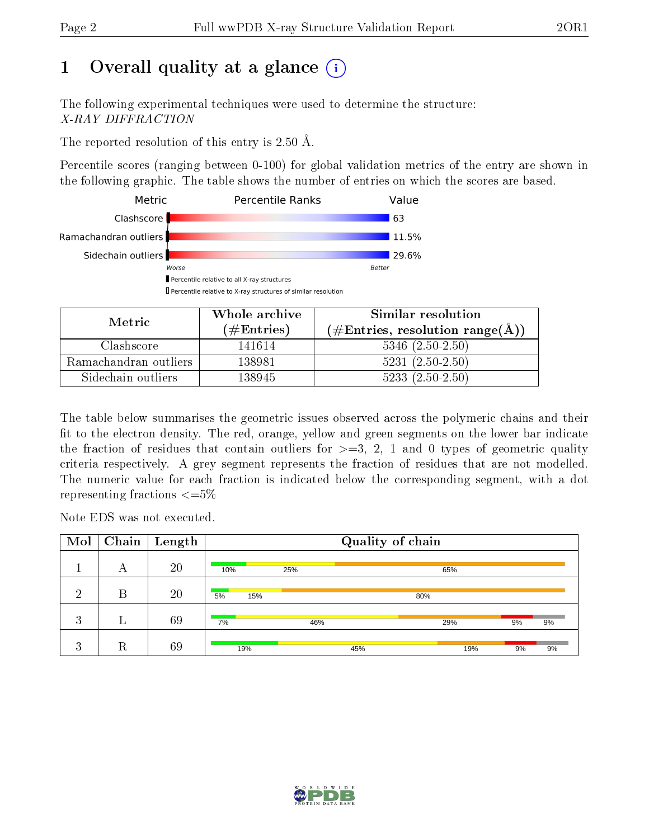# 1 [O](https://www.wwpdb.org/validation/2017/XrayValidationReportHelp#overall_quality)verall quality at a glance  $(i)$

The following experimental techniques were used to determine the structure: X-RAY DIFFRACTION

The reported resolution of this entry is 2.50 Å.

Percentile scores (ranging between 0-100) for global validation metrics of the entry are shown in the following graphic. The table shows the number of entries on which the scores are based.



| Metric                | Whole archive        | Similar resolution                                           |
|-----------------------|----------------------|--------------------------------------------------------------|
|                       | $(\#\text{Entries})$ | $(\#\text{Entries}, \text{resolution range}(\textup{\AA})\)$ |
| Clashscore            | 141614               | $5346$ $(2.50-2.50)$                                         |
| Ramachandran outliers | 138981               | $5231 (2.50 - 2.50)$                                         |
| Sidechain outliers    | 138945               | $5233(2.50-2.50)$                                            |

The table below summarises the geometric issues observed across the polymeric chains and their fit to the electron density. The red, orange, yellow and green segments on the lower bar indicate the fraction of residues that contain outliers for  $\geq=3$ , 2, 1 and 0 types of geometric quality criteria respectively. A grey segment represents the fraction of residues that are not modelled. The numeric value for each fraction is indicated below the corresponding segment, with a dot representing fractions  $\epsilon = 5\%$ 

Note EDS was not executed.

| Mol     | Chain | $\vert$ Length |           |     | Quality of chain |     |    |    |
|---------|-------|----------------|-----------|-----|------------------|-----|----|----|
|         | А     | 20             | 10%       | 25% |                  | 65% |    |    |
| ച       | B     | 20             | 5%<br>15% |     | 80%              |     |    |    |
| 3       |       | 69             | 7%        | 46% |                  | 29% | 9% | 9% |
| ച<br>k. | R     | 69             | 19%       |     | 45%              | 19% | 9% | 9% |

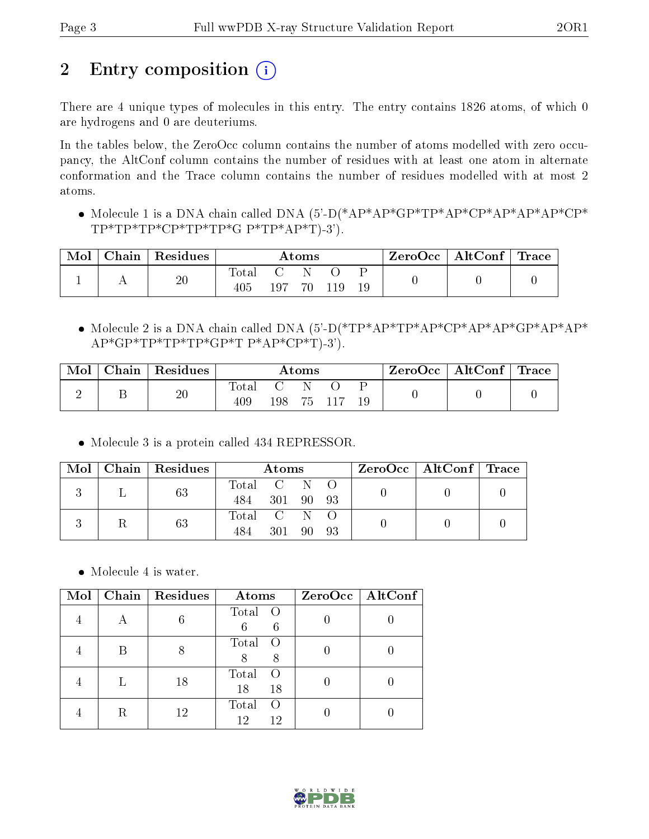# 2 Entry composition (i)

There are 4 unique types of molecules in this entry. The entry contains 1826 atoms, of which 0 are hydrogens and 0 are deuteriums.

In the tables below, the ZeroOcc column contains the number of atoms modelled with zero occupancy, the AltConf column contains the number of residues with at least one atom in alternate conformation and the Trace column contains the number of residues modelled with at most 2 atoms.

• Molecule 1 is a DNA chain called DNA  $(5)-D(*AP*AP*GP*TP*AP*CP*AP*AP*AP*AP*CP*$  $TP*TP*TP*CP*TP*TP*GP*TP*AP*T)-3'.$ 

| Mol | $\Box$ Chain $\Box$ | $\perp$ Residues | Atoms              |      |     |  |  | ZeroOcc   AltConf   Trace |  |
|-----|---------------------|------------------|--------------------|------|-----|--|--|---------------------------|--|
|     |                     | 20               | Total<br>$\rm 405$ | 107. | 70. |  |  |                           |  |

• Molecule 2 is a DNA chain called DNA  $(5)-D(*TP*AP*TP*AP*CP*AP*AP*GP*AP*AP*AP*AP*)$  $AP*GP*TP*TP*GP*TP*GP*TP*AP*CP*T)-3$ ').

| Mol | ${\bf Chain \mid Residues}$ | $\rm{Atoms}$ |       |  |  |  | $\text{ZeroOcc} \mid \text{AltConf} \mid \text{Trace}$ |  |
|-----|-----------------------------|--------------|-------|--|--|--|--------------------------------------------------------|--|
|     | 20                          | lotal<br>409 | 198 - |  |  |  |                                                        |  |

Molecule 3 is a protein called 434 REPRESSOR.

|  | Mol   Chain   Residues | Atoms       |           |  | $ZeroOcc \mid AltConf \mid Trace$ |  |  |
|--|------------------------|-------------|-----------|--|-----------------------------------|--|--|
|  | 63                     | Total C N O |           |  |                                   |  |  |
|  |                        | 484         | 301 90 93 |  |                                   |  |  |
|  | 63                     | Total C N   |           |  |                                   |  |  |
|  |                        | 484         | 301 90 93 |  |                                   |  |  |

• Molecule 4 is water.

| Mol | Chain   Residues | Atoms                                 | ZeroOcc   AltConf |
|-----|------------------|---------------------------------------|-------------------|
|     |                  | Total<br>$\circ$ O<br>6<br>6          |                   |
|     |                  | Total<br>$\left($<br>8<br>8           |                   |
|     | 18               | Total<br>$\left( \right)$<br>18<br>18 |                   |
|     | 12               | Total<br>$\left( \right)$<br>12<br>12 |                   |

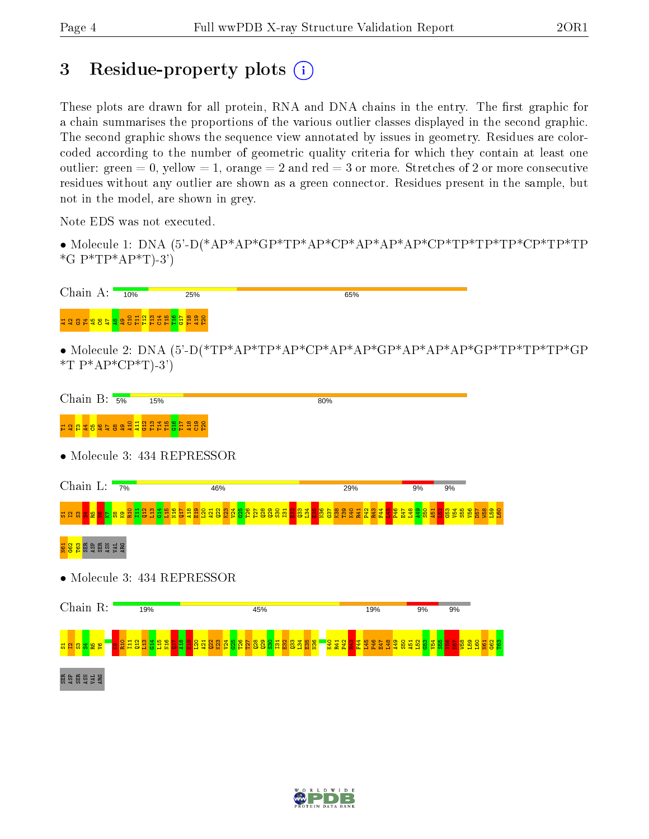## 3 Residue-property plots  $(i)$

These plots are drawn for all protein, RNA and DNA chains in the entry. The first graphic for a chain summarises the proportions of the various outlier classes displayed in the second graphic. The second graphic shows the sequence view annotated by issues in geometry. Residues are colorcoded according to the number of geometric quality criteria for which they contain at least one outlier: green  $= 0$ , yellow  $= 1$ , orange  $= 2$  and red  $= 3$  or more. Stretches of 2 or more consecutive residues without any outlier are shown as a green connector. Residues present in the sample, but not in the model, are shown in grey.

Note EDS was not executed.

• Molecule 1: DNA (5'-D(\*AP\*AP\*GP\*TP\*AP\*CP\*AP\*AP\*AP\*CP\*TP\*TP\*TP\*CP\*TP\*TP  $*G P*TP*AP*T$ )-3')





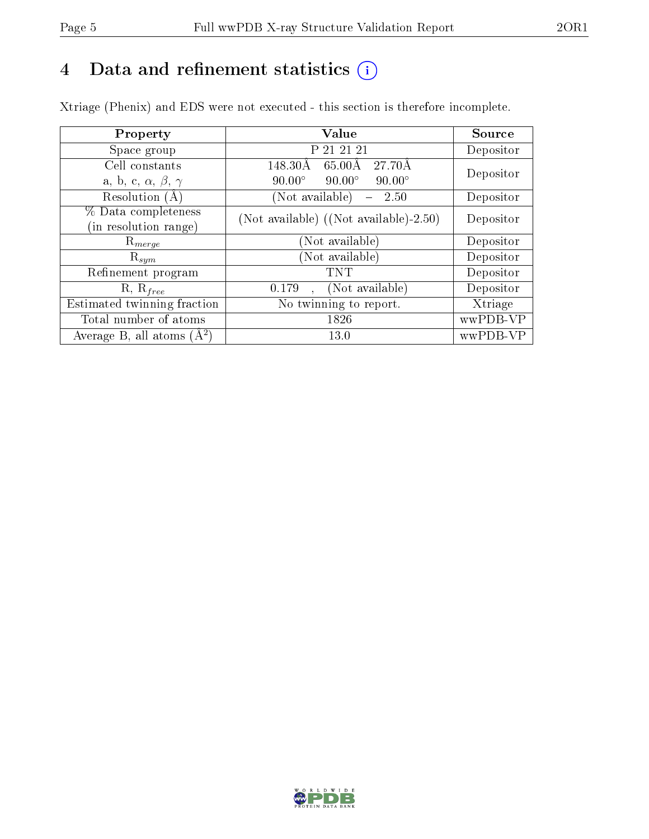## 4 Data and refinement statistics  $(i)$

Xtriage (Phenix) and EDS were not executed - this section is therefore incomplete.

| Property                               | Value                                           | Source    |  |
|----------------------------------------|-------------------------------------------------|-----------|--|
| Space group                            | P 21 21 21                                      | Depositor |  |
| Cell constants                         | $27.70\text{\AA}$<br>148.30Å<br>65.00Å          | Depositor |  |
| a, b, c, $\alpha$ , $\beta$ , $\gamma$ | $90.00^\circ$<br>$90.00^\circ$<br>$90.00^\circ$ |           |  |
| Resolution $(A)$                       | (Not available)<br>2.50                         | Depositor |  |
| % Data completeness                    | (Not available) $(Not available) - 2.50)$       | Depositor |  |
| (in resolution range)                  |                                                 |           |  |
| $\mathrm{R}_{merge}$                   | (Not available)                                 | Depositor |  |
| $\mathrm{R}_{sym}$                     | (Not available)                                 | Depositor |  |
| Refinement program                     | TNT                                             | Depositor |  |
| $R, R_{free}$                          | (Not available)<br>0.179                        | Depositor |  |
| Estimated twinning fraction            | $\overline{\text{No}}$ twinning to report.      | Xtriage   |  |
| Total number of atoms                  | 1826                                            | wwPDB-VP  |  |
| Average B, all atoms $(A^2)$           | 13.0                                            | wwPDB-VP  |  |

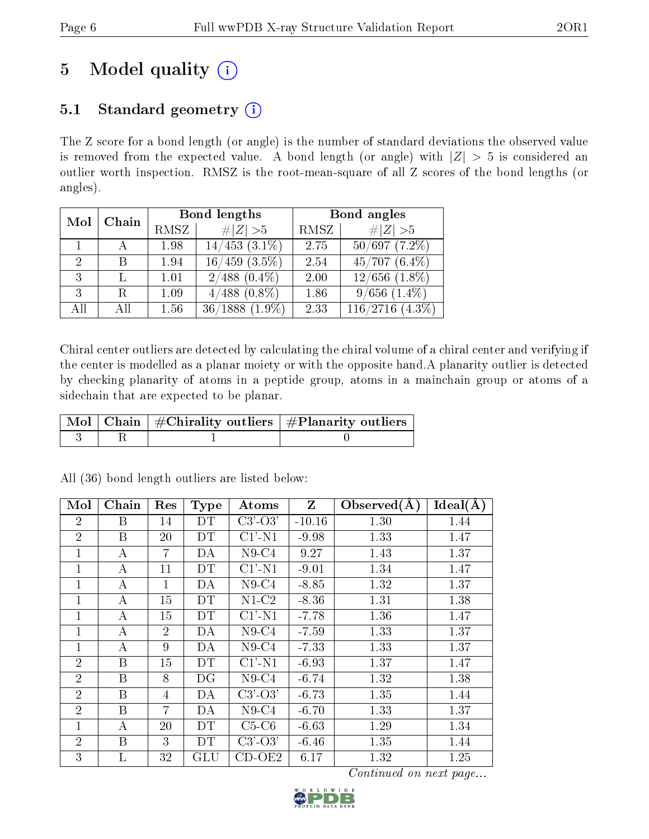# 5 Model quality  $(i)$

## 5.1 Standard geometry  $(i)$

The Z score for a bond length (or angle) is the number of standard deviations the observed value is removed from the expected value. A bond length (or angle) with  $|Z| > 5$  is considered an outlier worth inspection. RMSZ is the root-mean-square of all Z scores of the bond lengths (or angles).

| Mol           | Chain |      | Bond lengths        | Bond angles |                      |  |
|---------------|-------|------|---------------------|-------------|----------------------|--|
|               |       | RMSZ | $\ Z\  > 5$         | RMSZ        | $\ Z\  > 5$          |  |
|               |       | 1.98 | $14/453$ $(3.1\%)$  | 2.75        | $50/697$ $(7.2\%)$   |  |
| $\mathcal{D}$ | R     | 1.94 | $16/459$ $(3.5\%)$  | 2.54        | $45/707(6.4\%)$      |  |
| 3             |       | 1.01 | $2/488$ $(0.4\%)$   | 2.00        | $12/656$ $(1.8\%)$   |  |
| 3             | R.    | 1.09 | $4/488$ $(0.8\%)$   | 1.86        | $9/656$ $(1.4\%)$    |  |
| All           | АH    | 1.56 | $36/1888$ $(1.9\%)$ | 2.33        | $116/2716$ $(4.3\%)$ |  |

Chiral center outliers are detected by calculating the chiral volume of a chiral center and verifying if the center is modelled as a planar moiety or with the opposite hand.A planarity outlier is detected by checking planarity of atoms in a peptide group, atoms in a mainchain group or atoms of a sidechain that are expected to be planar.

|  | $\mid$ Mol $\mid$ Chain $\mid$ #Chirality outliers $\mid$ #Planarity outliers $\mid$ |
|--|--------------------------------------------------------------------------------------|
|  |                                                                                      |

| Mol            | Chain | Res            | <b>Type</b> | Atoms     | $Z_{\parallel}$ | Observed $(A)$ | $Ideal(\AA)$ |
|----------------|-------|----------------|-------------|-----------|-----------------|----------------|--------------|
| $\overline{2}$ | B     | 14             | DT          | $C3'-O3'$ | $-10.16$        | 1.30           | 1.44         |
| $\overline{2}$ | B     | 20             | DT          | $Cl'$ -N1 | $-9.98$         | 1.33           | 1.47         |
| 1              | А     | 7              | DA          | $N9-C4$   | 9.27            | 1.43           | 1.37         |
| 1              | A     | 11             | DT          | $C1'$ -N1 | $-9.01$         | 1.34           | 1.47         |
| $\mathbf{1}$   | A     | $\mathbf{1}$   | DA          | $N9-C4$   | $-8.85$         | 1.32           | 1.37         |
| 1              | А     | 15             | DT          | $N1-C2$   | $-8.36$         | 1.31           | 1.38         |
| 1              | А     | 15             | DT          | $C1'$ -N1 | $-7.78$         | 1.36           | 1.47         |
| $\mathbf{1}$   | А     | $\overline{2}$ | DA          | $N9-C4$   | $-7.59$         | 1.33           | 1.37         |
| $\mathbf{1}$   | А     | 9              | DA          | $N9-C4$   | $-7.33$         | 1.33           | 1.37         |
| $\overline{2}$ | B     | 15             | DT          | $C1'$ -N1 | $-6.93$         | 1.37           | 1.47         |
| $\overline{2}$ | B     | 8              | DG          | $N9-C4$   | $-6.74$         | 1.32           | 1.38         |
| $\overline{2}$ | B     | 4              | DA          | $C3'-O3'$ | $-6.73$         | 1.35           | 1.44         |
| $\overline{2}$ | B     | $\overline{7}$ | DА          | $N9-C4$   | $-6.70$         | 1.33           | 1.37         |
| $\mathbf{1}$   | А     | 20             | DT          | $C5-C6$   | $-6.63$         | 1.29           | 1.34         |
| $\overline{2}$ | B     | 3              | DТ          | $C3'-O3'$ | $-6.46$         | 1.35           | 1.44         |
| 3              | L     | 32             | GLU         | CD-OE2    | 6.17            | 1.32           | 1.25         |

All (36) bond length outliers are listed below:

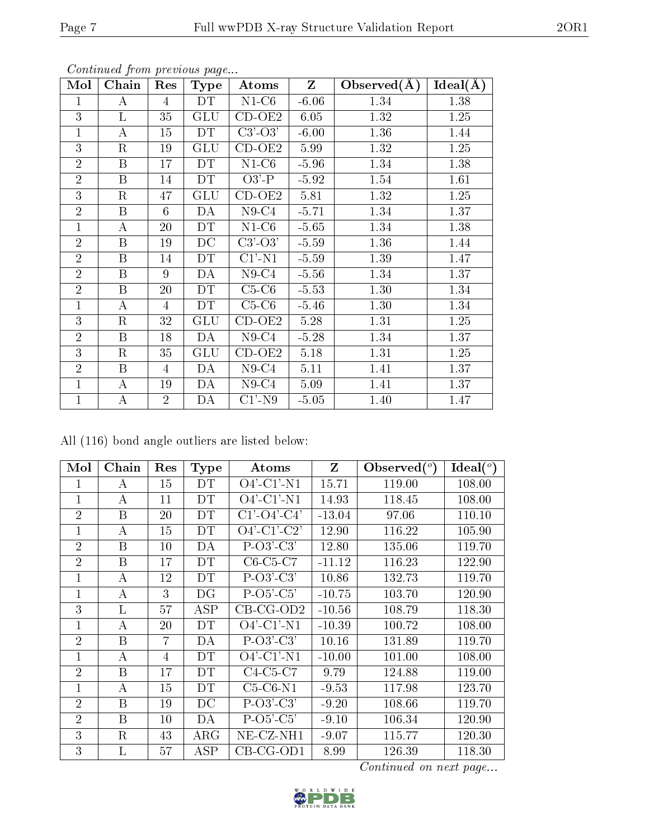| Mol            | s ontenta ca promo process as page<br>Chain | Res            | <b>Type</b> | Atoms        | $Z_{\parallel}$ | Observed $(A)$ | Ideal(A) |
|----------------|---------------------------------------------|----------------|-------------|--------------|-----------------|----------------|----------|
| $\mathbf{1}$   | $\bf{A}$                                    | $\overline{4}$ | DT          | $N1-C6$      | $-6.06$         | 1.34           | 1.38     |
| 3              | L                                           | 35             | <b>GLU</b>  | $CD-OE2$     | 6.05            | 1.32           | 1.25     |
| $\mathbf{1}$   | А                                           | 15             | DT          | $C3'-O3'$    | $-6.00$         | 1.36           | 1.44     |
| 3              | R                                           | 19             | GLU         | CD-OE2       | 5.99            | 1.32           | 1.25     |
| $\overline{2}$ | B                                           | 17             | DT          | $N1-C6$      | $-5.96$         | 1.34           | 1.38     |
| $\overline{2}$ | B                                           | 14             | <b>DT</b>   | $O3'$ -P     | $-5.92$         | 1.54           | 1.61     |
| 3              | $\mathbf R$                                 | 47             | GLU         | $CD-OE2$     | 5.81            | 1.32           | 1.25     |
| $\overline{2}$ | B                                           | 6              | DA          | $N9-C4$      | $-5.71$         | 1.34           | 1.37     |
| $\mathbf{1}$   | $\bf{A}$                                    | 20             | <b>DT</b>   | $N1-C6$      | $-5.65$         | 1.34           | 1.38     |
| $\overline{2}$ | B                                           | 19             | DC          | $C3'-O3'$    | $-5.59$         | 1.36           | 1.44     |
| $\overline{2}$ | $\boldsymbol{B}$                            | 14             | DT          | $C1'$ -N1    | $-5.59$         | 1.39           | 1.47     |
| $\overline{2}$ | $\boldsymbol{B}$                            | 9              | DA          | $N9-C4$      | $-5.56$         | 1.34           | 1.37     |
| $\overline{2}$ | $\mathbf{B}$                                | 20             | DT          | $C5-C6$      | $-5.53$         | 1.30           | 1.34     |
| $\mathbf{1}$   | $\bf{A}$                                    | $\overline{4}$ | <b>DT</b>   | $C5-C6$      | $-5.46$         | 1.30           | 1.34     |
| 3              | $\rm R$                                     | 32             | GLU         | CD-OE2       | 5.28            | 1.31           | 1.25     |
| $\overline{2}$ | B                                           | 18             | DA          | $N9-C4$      | $-5.28$         | 1.34           | 1.37     |
| 3              | $\rm R$                                     | 35             | GLU         | $CD-OE2$     | 5.18            | 1.31           | 1.25     |
| $\overline{2}$ | B                                           | $\overline{4}$ | DA          | $N9-C4$      | 5.11            | 1.41           | 1.37     |
| $\mathbf{1}$   | $\bf{A}$                                    | 19             | DA          | $N9-C4$      | 5.09            | 1.41           | 1.37     |
| $\mathbf{1}$   | $\bf{A}$                                    | $\overline{2}$ | DA          | $C1'$ -N $9$ | $-5.05$         | 1.40           | 1.47     |

All (116) bond angle outliers are listed below:

| Mol            | Chain | Res            | <b>Type</b> | Atoms             | Z        | Observed $(^\circ)$ | Ideal (°) |
|----------------|-------|----------------|-------------|-------------------|----------|---------------------|-----------|
| 1              | А     | 15             | DT          | $O4'$ -C1'-N1     | 15.71    | 119.00              | 108.00    |
| $\overline{1}$ | А     | 11             | DT          | $O4'$ -C1'-N1     | 14.93    | 118.45              | 108.00    |
| $\overline{2}$ | B     | 20             | DT          | $C1' - O4' - C4'$ | $-13.04$ | 97.06               | 110.10    |
| 1              | А     | 15             | DT          | $O4'$ -C1'-C2'    | 12.90    | 116.22              | 105.90    |
| $\overline{2}$ | B     | 10             | DA          | $P-O3'-C3'$       | 12.80    | 135.06              | 119.70    |
| $\overline{2}$ | B     | 17             | DT          | $C6-C5-C7$        | $-11.12$ | 116.23              | 122.90    |
| 1              | А     | 12             | DT          | $P-O3'-C3'$       | 10.86    | 132.73              | 119.70    |
| $\overline{1}$ | А     | 3              | DG          | $P-O5'-C5'$       | $-10.75$ | 103.70              | 120.90    |
| 3              | L     | 57             | ASP         | $CB-CG-OD2$       | $-10.56$ | 108.79              | 118.30    |
| 1              | А     | 20             | DT          | $O4'$ -C1'-N1     | $-10.39$ | 100.72              | 108.00    |
| $\overline{2}$ | B     | 7              | DA          | $P-O3'-C3'$       | 10.16    | 131.89              | 119.70    |
| 1              | А     | $\overline{4}$ | DT          | $O4'$ -C1'-N1     | $-10.00$ | 101.00              | 108.00    |
| $\overline{2}$ | B     | 17             | DT          | $C4-C5-C7$        | 9.79     | 124.88              | 119.00    |
| $\overline{1}$ | А     | 15             | DT          | $C5-C6-N1$        | $-9.53$  | 117.98              | 123.70    |
| $\overline{2}$ | B     | 19             | DC          | $P-O3'-C3'$       | $-9.20$  | 108.66              | 119.70    |
| $\overline{2}$ | B     | 10             | DA          | $P-O5'-C5'$       | $-9.10$  | 106.34              | 120.90    |
| 3              | R     | 43             | $\rm{ARG}$  | NE-CZ-NH1         | $-9.07$  | 115.77              | 120.30    |
| 3              | L     | 57             | $\rm{ASP}$  | CB-CG-OD1         | 8.99     | 126.39              | 118.30    |

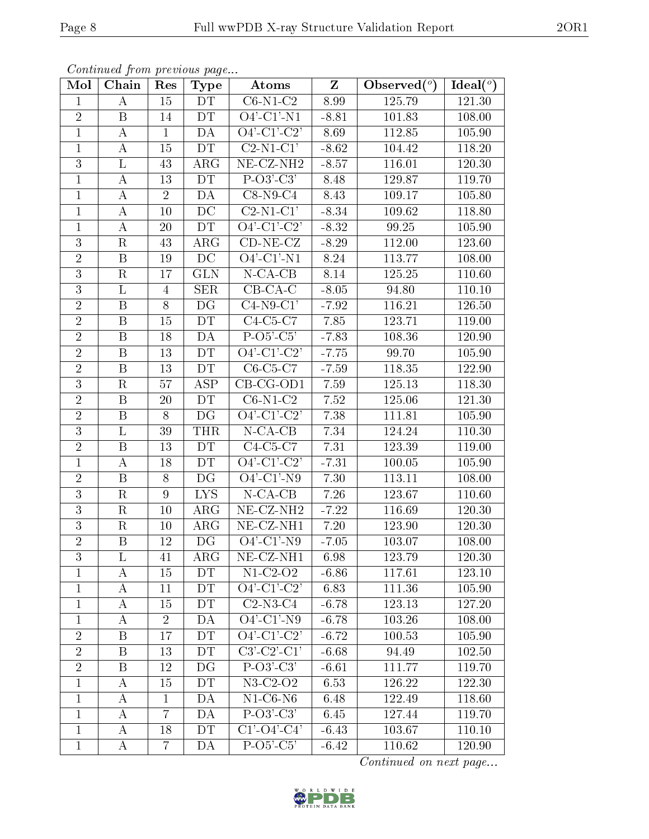| Mol            | Chain                   | Res            | <b>Type</b> | Atoms                                  | $\mathbf{Z}$ | Observed $\binom{o}{k}$ | Ideal $(°)$ |
|----------------|-------------------------|----------------|-------------|----------------------------------------|--------------|-------------------------|-------------|
| $\mathbf{1}$   | $\bf{A}$                | 15             | DT          | $C6-N1-C2$                             | 8.99         | 125.79                  | 121.30      |
| $\overline{2}$ | B                       | 14             | <b>DT</b>   | $O4'$ -C1'-N1                          | $-8.81$      | 101.83                  | 108.00      |
| $\mathbf{1}$   | $\boldsymbol{A}$        | $\mathbf{1}$   | DA          | $\overline{O4'$ - $C1'$ - $C2'$        | 8.69         | 112.85                  | 105.90      |
| $\mathbf{1}$   | $\boldsymbol{A}$        | 15             | DT          | $C2-N1-C1'$                            | $-8.62$      | 104.42                  | 118.20      |
| $\mathfrak{Z}$ | $\Gamma$                | 43             | $\rm{ARG}$  | $NE-CZ-NH2$                            | $-8.57$      | 116.01                  | 120.30      |
| $\mathbf{1}$   | $\boldsymbol{A}$        | 13             | DT          | $P-O3'-C3'$                            | 8.48         | 129.87                  | 119.70      |
| $\mathbf{1}$   | $\boldsymbol{A}$        | $\overline{2}$ | DA          | $\overline{\text{C8-N9-C4}}$           | 8.43         | 109.17                  | 105.80      |
| $\mathbf{1}$   | $\boldsymbol{A}$        | 10             | DC          | $C2-N1-C1'$                            | $-8.34$      | 109.62                  | 118.80      |
| $\mathbf{1}$   | А                       | 20             | DT          | $\overline{O4'-C1'-C2'}$               | $-8.32$      | 99.25                   | 105.90      |
| $\overline{3}$ | $\rm R$                 | 43             | ARG         | $CD-NE- CZ$                            | $-8.29$      | 112.00                  | 123.60      |
| $\overline{2}$ | $\boldsymbol{B}$        | 19             | DC          | $O4'$ -C1'-N1                          | 8.24         | 113.77                  | 108.00      |
| $\overline{3}$ | $\rm R$                 | 17             | <b>GLN</b>  | $N$ -CA-CB                             | 8.14         | 125.25                  | 110.60      |
| 3              | L                       | $\overline{4}$ | <b>SER</b>  | $CB-CA-C$                              | $-8.05$      | 94.80                   | 110.10      |
| $\sqrt{2}$     | $\boldsymbol{B}$        | 8              | DG          | $C4-N9-C1'$                            | $-7.92$      | 116.21                  | 126.50      |
| $\overline{2}$ | $\boldsymbol{B}$        | 15             | <b>DT</b>   | $C4-C5-C7$                             | 7.85         | 123.71                  | 119.00      |
| $\overline{2}$ | B                       | 18             | DA          | $P-O5'-C5'$                            | $-7.83$      | 108.36                  | 120.90      |
| $\overline{2}$ | $\, {\bf B}$            | 13             | <b>DT</b>   | $O4'-C1'-C2'$                          | $-7.75$      | 99.70                   | 105.90      |
| $\sqrt{2}$     | $\boldsymbol{B}$        | 13             | DT          | $C6-C5-C7$                             | $-7.59$      | 118.35                  | 122.90      |
| 3              | $\rm R$                 | 57             | ASP         | $CB-CG-OD1$                            | 7.59         | 125.13                  | 118.30      |
| $\overline{2}$ | $\boldsymbol{B}$        | 20             | DT          | $C6-N1-C2$                             | 7.52         | 125.06                  | 121.30      |
| $\overline{2}$ | B                       | 8              | DG          | $O4'$ -C1'-C2'                         | 7.38         | 111.81                  | 105.90      |
| $\overline{3}$ | $\overline{\mathbf{L}}$ | 39             | <b>THR</b>  | $N-CA-CB$                              | 7.34         | 124.24                  | 110.30      |
| $\overline{2}$ | B                       | 13             | DT          | $C4-C5-C7$                             | 7.31         | 123.39                  | 119.00      |
| $\mathbf{1}$   | А                       | 18             | DT          | $\overline{O4'-Cl'-C2'}$               | $-7.31$      | 100.05                  | 105.90      |
| $\sqrt{2}$     | $\boldsymbol{B}$        | 8              | DG          | $O4'-C1'-N9$                           | 7.30         | 113.11                  | 108.00      |
| 3              | $\mathbf R$             | 9              | ${\rm LYS}$ | $N$ -CA-CB                             | 7.26         | 123.67                  | 110.60      |
| $\overline{3}$ | $\mathbf R$             | 10             | ARG         | $NE- CZ-NH2$                           | $-7.22$      | 116.69                  | 120.30      |
| $\mathfrak{Z}$ | $\mathbf R$             | 10             | $\rm{ARG}$  | $NE- CZ-NH1$                           | $7.20\,$     | 123.90                  | 120.30      |
| $\overline{2}$ | $\boldsymbol{B}$        | 12             | DG          | $O4'$ -C1'-N9                          | $-7.05$      | 103.07                  | 108.00      |
| 3              | L                       | 41             | $\rm{ARG}$  | $NE$ -CZ-NH1                           | 6.98         | 123.79                  | 120.30      |
| 1              | A                       | 15             | DT          | $N1-C2-O2$                             | $-6.86$      | 117.61                  | 123.10      |
| $\mathbf{1}$   | А                       | 11             | <b>DT</b>   | $O4'-Cl'-C2'$                          | 6.83         | 111.36                  | 105.90      |
| $\mathbf{1}$   | A                       | 15             | DT          | $C2-N3-C4$                             | $-6.78$      | 123.13                  | 127.20      |
| 1              | А                       | $\overline{2}$ | DA          | $O4'-C1'-N9$                           | $-6.78$      | 103.26                  | 108.00      |
| $\overline{2}$ | Β                       | 17             | DT          | $\overline{O4'}$ -C1'-C2'              | $-6.72$      | 100.53                  | 105.90      |
| $\overline{2}$ | $\boldsymbol{B}$        | 13             | DT.         | $C3'-C2'-C1'$                          | $-6.68$      | 94.49                   | 102.50      |
| $\overline{2}$ | Β                       | 12             | DG          | $P-O3'-C3'$                            | $-6.61$      | 111.77                  | 119.70      |
| $\mathbf{1}$   | A                       | 15             | <b>DT</b>   | $N3-C2-O2$                             | 6.53         | 126.22                  | 122.30      |
| $\mathbf{1}$   | Α                       | $\mathbf{1}$   | DA          | $N1$ -C6-N6                            | 6.48         | 122.49                  | 118.60      |
| $\mathbf{1}$   | A                       | $\overline{7}$ | DA          | $P-O3'-C3'$                            | 6.45         | 127.44                  | 119.70      |
| $\mathbf{1}$   | A                       | 18             | DT          | $\overline{C1'\text{-}O4'\text{-}C4'}$ | $-6.43$      | 103.67                  | 110.10      |
| $\mathbf{1}$   | A                       | 7              | DA          | $P-O5-C5'$                             | $-6.42$      | 110.62                  | 120.90      |

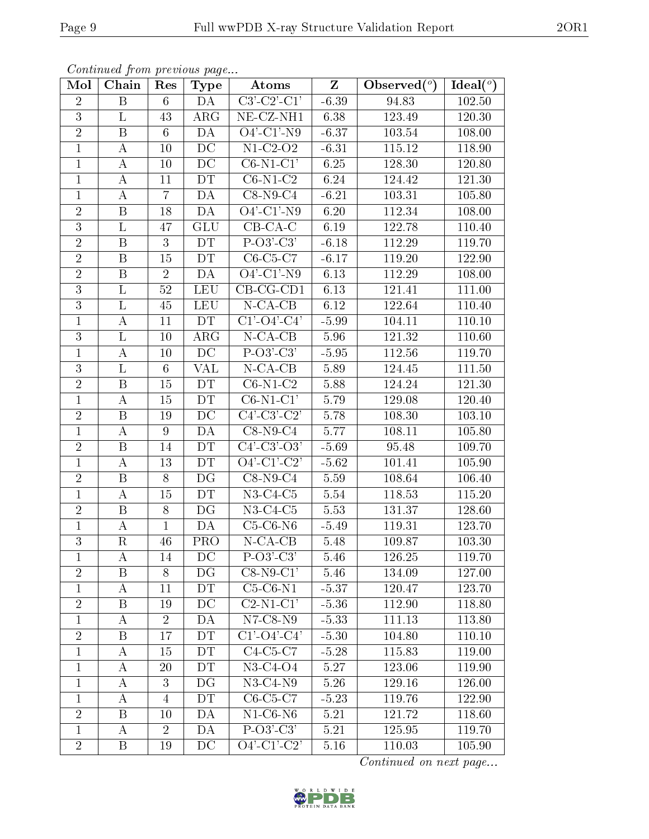| Mol            | Chain            | Res            | <b>Type</b>     | Atoms                           | $\overline{\mathbf{Z}}$ | Observed $(°)$ | Ideal $(°)$ |
|----------------|------------------|----------------|-----------------|---------------------------------|-------------------------|----------------|-------------|
| $\overline{2}$ | $\boldsymbol{B}$ | $6\phantom{.}$ | DA              | $\overline{\text{C3'-C2'-C1'}}$ | $-6.39$                 | 94.83          | 102.50      |
| 3              | L                | 43             | ARG             | $\overline{\text{NE- CZ-NH1}}$  | 6.38                    | 123.49         | 120.30      |
| $\overline{2}$ | $\overline{B}$   | $6\phantom{.}$ | DA              | $O4'$ -C1'-N9                   | $-6.37$                 | 103.54         | 108.00      |
| $\mathbf{1}$   | A                | 10             | DC              | $N1-C2-O2$                      | $-6.31$                 | 115.12         | 118.90      |
| $\mathbf{1}$   | $\bf{A}$         | 10             | DC              | $C6-N1-C1'$                     | 6.25                    | 128.30         | 120.80      |
| $\mathbf{1}$   | A                | 11             | DT              | $C6-N1-C2$                      | 6.24                    | 124.42         | 121.30      |
| $\mathbf{1}$   | $\boldsymbol{A}$ | $\overline{7}$ | <b>DA</b>       | $C8-N9-C4$                      | $-6.21$                 | 103.31         | 105.80      |
| $\overline{2}$ | B                | 18             | DA              | $O4'-C1'-N9$                    | 6.20                    | 112.34         | 108.00      |
| 3              | $\Gamma$         | 47             | GLU             | $\overline{CB-CA-C}$            | 6.19                    | 122.78         | 110.40      |
| $\sqrt{2}$     | B                | 3              | DT              | $P-O3'-C3'$                     | $-6.18$                 | 112.29         | 119.70      |
| $\overline{2}$ | $\, {\bf B}$     | 15             | <b>DT</b>       | $C6-C5-C7$                      | $-6.17$                 | 119.20         | 122.90      |
| $\overline{2}$ | $\, {\bf B}$     | $\overline{2}$ | DA              | $O4'$ -C1'-N9                   | 6.13                    | 112.29         | 108.00      |
| 3              | L                | $52\,$         | <b>LEU</b>      | $CB-CG-CD1$                     | 6.13                    | 121.41         | 111.00      |
| 3              | $\rm L$          | 45             | <b>LEU</b>      | $N$ -CA-CB                      | 6.12                    | 122.64         | 110.40      |
| $\mathbf{1}$   | $\boldsymbol{A}$ | 11             | DT              | $\overline{C1'$ - $O4'$ - $C4'$ | $-5.99$                 | 104.11         | 110.10      |
| 3              | $\Gamma$         | 10             | $\rm{ARG}$      | $N$ -CA-CB                      | 5.96                    | 121.32         | 110.60      |
| $\mathbf{1}$   | $\boldsymbol{A}$ | 10             | $\overline{DC}$ | $P-O3'-C3'$                     | $-5.95$                 | 112.56         | 119.70      |
| 3              | L                | 6              | VAL             | $N$ -CA-CB                      | 5.89                    | 124.45         | 111.50      |
| $\overline{2}$ | B                | 15             | DT              | $C6-N1-C2$                      | 5.88                    | 124.24         | 121.30      |
| $\mathbf{1}$   | А                | 15             | DT              | $C6-N1-C1'$                     | 5.79                    | 129.08         | 120.40      |
| $\sqrt{2}$     | B                | 19             | DC              | $C4'$ -C3'-C2'                  | 5.78                    | 108.30         | 103.10      |
| $\mathbf{1}$   | $\boldsymbol{A}$ | 9              | $\overline{DA}$ | $C8-N9-C4$                      | 5.77                    | 108.11         | 105.80      |
| $\sqrt{2}$     | B                | 14             | DT              | $C4'$ -C3'-O3'                  | $-5.69$                 | 95.48          | 109.70      |
| $\mathbf{1}$   | $\boldsymbol{A}$ | 13             | DT              | $\overline{O4'-C1'-C2'}$        | $-5.62$                 | 101.41         | 105.90      |
| $\sqrt{2}$     | B                | 8              | DG              | $C8-N9-C4$                      | 5.59                    | 108.64         | 106.40      |
| $\mathbf{1}$   | $\bf{A}$         | 15             | <b>DT</b>       | $N3-C4-C5$                      | 5.54                    | 118.53         | 115.20      |
| $\sqrt{2}$     | B                | 8              | DG              | $N3-C4-C5$                      | 5.53                    | 131.37         | 128.60      |
| 1              | А                | $\mathbf{1}$   | DA              | $C5-C6-N6$                      | $-5.49$                 | 119.31         | 123.70      |
| $\overline{3}$ | $\mathbf R$      | 46             | <b>PRO</b>      | $N$ -CA-CB                      | 5.48                    | 109.87         | 103.30      |
| $\perp$        | A                | 14             | DC              | $P-O3'-C3'$                     | 5.46                    | 126.25         | 119.70      |
| $\overline{2}$ | Β                | 8              | DG              | $C8-N9-C1'$                     | 5.46                    | 134.09         | 127.00      |
| 1              | А                | 11             | <b>DT</b>       | $C5-C6-N1$                      | $-5.37$                 | 120.47         | 123.70      |
| $\overline{2}$ | B                | 19             | DC              | $C2-N1-C1'$                     | $-5.36$                 | 112.90         | 118.80      |
| $\mathbf 1$    | А                | $\overline{2}$ | DA              | $N7$ -C8- $N9$                  | $-5.33$                 | 111.13         | 113.80      |
| $\overline{2}$ | $\boldsymbol{B}$ | 17             | DT              | $\overline{C1'-O4'-C4'}$        | $-5.30$                 | 104.80         | 110.10      |
| $\mathbf{1}$   | A                | 15             | DT              | $C4-C5-C7$                      | $-5.28$                 | 115.83         | 119.00      |
| $\mathbf{1}$   | A                | 20             | DT              | $N3-C4-O4$                      | $5.27\,$                | 123.06         | 119.90      |
| $\mathbf{1}$   | $\boldsymbol{A}$ | 3              | DG              | $N3-C4-N9$                      | 5.26                    | 129.16         | 126.00      |
| $\mathbf{1}$   | Α                | $\overline{4}$ | <b>DT</b>       | $C6-C5-C7$                      | $-5.23$                 | 119.76         | 122.90      |
| $\overline{2}$ | Β                | 10             | DA              | $N1-C6-N6$                      | 5.21                    | 121.72         | 118.60      |
| $\mathbf{1}$   | A                | $\overline{2}$ | DA              | $P-O3'-C3'$                     | 5.21                    | 125.95         | 119.70      |
| $\overline{2}$ | Β                | 19             | DC              | $O4'$ -C1'-C2'                  | 5.16                    | 110.03         | 105.90      |

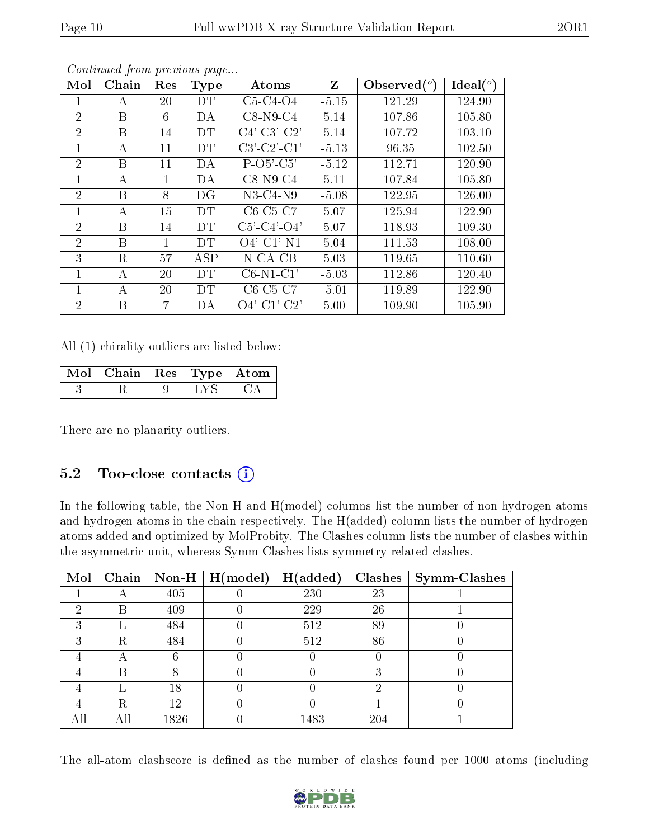| Mol            | Chain | Res | Type      | Atoms                 | Z       | Observed $(°)$ | Ideal $(^\circ)$ |
|----------------|-------|-----|-----------|-----------------------|---------|----------------|------------------|
|                | А     | 20  | DT        | $C5-C4-O4$            | $-5.15$ | 121.29         | 124.90           |
| $\overline{2}$ | B     | 6   | DA        | $C8-N9-C4$            | 5.14    | 107.86         | 105.80           |
| $\overline{2}$ | Β     | 14  | DΤ        | $C4'-C3'-C2'$         | 5.14    | 107.72         | 103.10           |
| 1              | А     | 11  | DT        | $C3'-C2'-C1'$         | $-5.13$ | 96.35          | 102.50           |
| $\overline{2}$ | B     | 11  | DA        | $P-O5'-C5'$           | $-5.12$ | 112.71         | 120.90           |
| 1              | А     | 1   | DA        | $C8-N9-C4$            | 5.11    | 107.84         | 105.80           |
| 2              | B     | 8   | DG        | $N3-C4-N9$            | $-5.08$ | 122.95         | 126.00           |
| 1              | А     | 15  | <b>DT</b> | $C6-C5-C7$            | 5.07    | 125.94         | 122.90           |
| 2              | B     | 14  | DT        | $C5'$ - $C4'$ - $O4'$ | 5.07    | 118.93         | 109.30           |
| 2              | B     | 1   | DT        | $O4'$ -C1'-N1         | 5.04    | 111.53         | 108.00           |
| 3              | R     | 57  | ASP       | $N$ -CA-CB            | 5.03    | 119.65         | 110.60           |
|                | А     | 20  | <b>DT</b> | $C6-N1-C1'$           | $-5.03$ | 112.86         | 120.40           |
|                | А     | 20  | DТ        | $C6-C5-C7$            | $-5.01$ | 119.89         | 122.90           |
| 2              | B     | 7   | DА        | $O4'$ -C1'-C2'        | 5.00    | 109.90         | 105.90           |

All (1) chirality outliers are listed below:

| Mol   Chain   Res   Type   Atom |  |  |
|---------------------------------|--|--|
|                                 |  |  |

There are no planarity outliers.

### 5.2 Too-close contacts  $(i)$

In the following table, the Non-H and H(model) columns list the number of non-hydrogen atoms and hydrogen atoms in the chain respectively. The H(added) column lists the number of hydrogen atoms added and optimized by MolProbity. The Clashes column lists the number of clashes within the asymmetric unit, whereas Symm-Clashes lists symmetry related clashes.

| Mol | Chain     |      | $\vert$ Non-H $\vert$ $\overline{H$ (model) | H(added) |     | $Clashes$   Symm-Clashes |
|-----|-----------|------|---------------------------------------------|----------|-----|--------------------------|
|     |           | 405  |                                             | 230      | 23  |                          |
| 2   | В         | 409  |                                             | 229      | 26  |                          |
| 3   |           | 484  |                                             | 512      | 89  |                          |
| 3   | R         | 484  |                                             | 512      | 86  |                          |
| 4   | $\forall$ |      |                                             |          |     |                          |
| 4   | В         |      |                                             |          | 3   |                          |
| 4   |           | 18   |                                             |          | റ   |                          |
| 4   | R         | 12   |                                             |          |     |                          |
|     | Αll       | 1826 |                                             | 1483     | 204 |                          |

The all-atom clashscore is defined as the number of clashes found per 1000 atoms (including

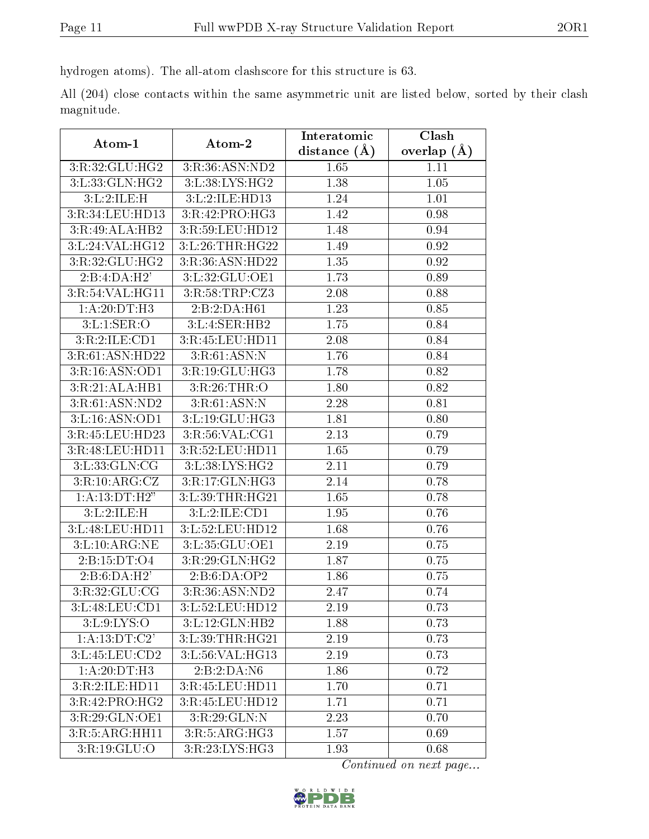hydrogen atoms). The all-atom clashscore for this structure is 63.

All (204) close contacts within the same asymmetric unit are listed below, sorted by their clash magnitude.

| Atom-1                    | Atom-2                               | Interatomic    | Clash         |
|---------------------------|--------------------------------------|----------------|---------------|
|                           |                                      | distance $(A)$ | overlap $(A)$ |
| 3:R:32:GLU:HG2            | 3:R:36:ASN:ND2                       | 1.65           | 1.11          |
| 3:L:33:GLN:HG2            | 3:L:38:LYS:HG2                       | 1.38           | 1.05          |
| 3:L:2:ILE:H               | 3:L:2:ILE:HD13                       | 1.24           | 1.01          |
| 3:R:34:LEU:HD13           | 3:R:42:PRO:HG3                       | 1.42           | 0.98          |
| 3:R:49:ALA:HB2            | 3:R:59:LEU:HD12                      | 1.48           | 0.94          |
| 3:L:24:VAL:HG12           | 3:L:26:THR:HG22                      | 1.49           | 0.92          |
| 3:R:32:GLU:HG2            | 3:R:36:ASN:HD22                      | 1.35           | 0.92          |
| 2:B:4:DA:H2'              | 3:L:32:GLU:OE1                       | 1.73           | 0.89          |
| 3:R:54:VAL:HG11           | 3:R:58:TRP:CZ3                       | 2.08           | 0.88          |
| 1: A:20:DT:H3             | 2:B:2:DA:H61                         | 1.23           | 0.85          |
| 3: L: 1: SER: O           | 3:L:4:SER:HB2                        | 1.75           | 0.84          |
| 3:R:2:ILE:CD1             | 3:R:45:LEU:HD11                      | 2.08           | 0.84          |
| 3:R:61:ASN:HD22           | 3:R:61:ASN:N                         | 1.76           | 0.84          |
| 3:R:16:ASN:OD1            | 3:R:19:GLU:HG3                       | 1.78           | 0.82          |
| 3:R:21:ALA:HB1            | 3:R:26:THR:O                         | 1.80           | 0.82          |
| 3:R:61:ASN:ND2            | 3:R:61:ASN:N                         | 2.28           | 0.81          |
| 3:L:16:ASN:OD1            | 3:L:19:GLU:HG3                       | 1.81           | 0.80          |
| 3:R:45:LEU:HD23           | $3:R:56:\overline{\mathrm{VAL:CG1}}$ | 2.13           | 0.79          |
| 3:R:48:LEU:HD11           | 3:R:52:LEU:HD11                      | 1.65           | 0.79          |
| 3: L: 33: GLN: CG         | 3:L:38:LYS:HG2                       | 2.11           | 0.79          |
| 3:R:10:ARG:CZ             | 3:R:17:GLN:HG3                       | 2.14           | 0.78          |
| 1:A:13:DT:H2"             | 3:L:39:THR:HG21                      | 1.65           | 0.78          |
| 3:L:2:ILE:H               | 3:L:2:ILE:CD1                        | 1.95           | 0.76          |
| 3:L:48:LEU:HD11           | 3:L:52:LEU:HD12                      | 1.68           | 0.76          |
| 3:L:10:ARG:NE             | 3:L:35:GLU:OE1                       | 2.19           | 0.75          |
| 2:B:15:DT:O4              | 3:R:29:GLN:HG2                       | 1.87           | 0.75          |
| 2:B:6:DA:H2'              | 2:B:6:DA:OP2                         | 1.86           | 0.75          |
| 3:R:32:GLU:CG             | 3:R:36:ASN:ND2                       | 2.47           | 0.74          |
| 3:L:48:LEU:CD1            | 3:L:52:LEU:HD12                      | 2.19           | 0.73          |
| 3: L: 9: LYS: O           | 3:L:12:GLN:HB2                       | 1.88           | 0.73          |
| 1: A: 13: DT: C2'         | 3:L:39:THR:HG21                      | 2.19           | 0.73          |
| 3:L:45:LEU:CD2            | 3:L:56: VAL: HG13                    | 2.19           | 0.73          |
| $1:A:20:D\overline{T:H3}$ | 2:B:2:DA:NG                          | 1.86           | 0.72          |
| 3:R:2:ILE:HD11            | 3:R:45:LEU:HD11                      | 1.70           | 0.71          |
| 3:R:42:PRO:HG2            | 3:R:45:LEU:HD12                      | 1.71           | 0.71          |
| 3:R:29:GLN:OE1            | 3:R:29:GLN:N                         | 2.23           | 0.70          |
| 3:R:5:ARG:HH11            | 3:R:5:ARG:HG3                        | 1.57           | 0.69          |
| 3:R:19:GLU:O              | 3:R:23:LYS:HG3                       | 1.93           | 0.68          |

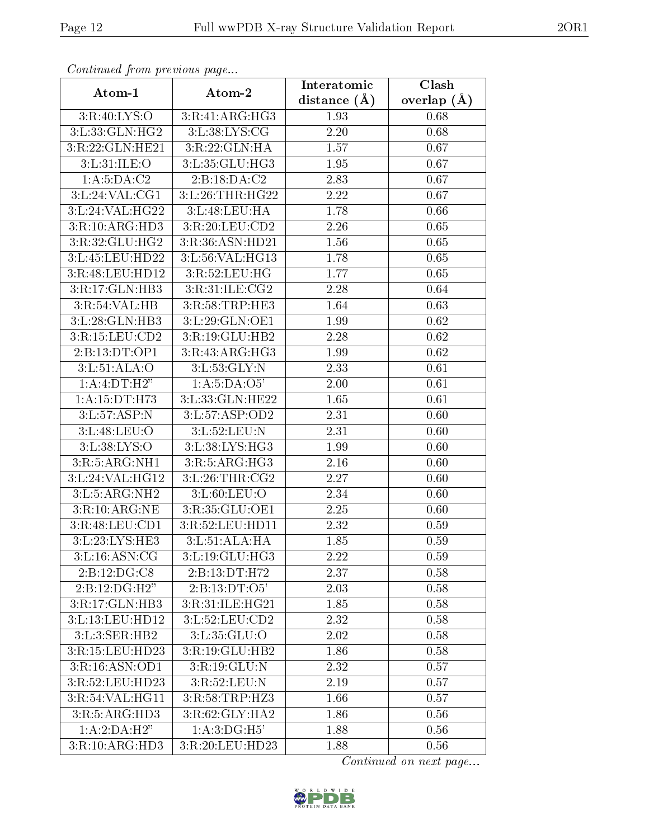| Continued from previous page |                     | Interatomic       | $\overline{\text{Clash}}$ |  |
|------------------------------|---------------------|-------------------|---------------------------|--|
| Atom-1                       | Atom-2              | distance $(A)$    | overlap $(\AA)$           |  |
| 3:R:40:LYS:O                 | 3:R:41:ARG:HG3      | 1.93              | 0.68                      |  |
| 3:L:33:GLN:HG2               | 3: L: 38: LYS: CG   | $\overline{2.20}$ | 0.68                      |  |
| 3:R:22:GLN:HE21              | 3:R:22:GLN:HA       | 1.57              | 0.67                      |  |
| 3:L:31:ILE:O                 | 3:L:35:GLU:HG3      | 1.95              | 0.67                      |  |
| 1: A: 5: DA: C2              | 2:B:18:DA:C2        | 2.83              | 0.67                      |  |
| 3:L:24:VAL:CG1               | 3:L:26:THR:HG22     | 2.22              | 0.67                      |  |
| 3:L:24:VAL:HG22              | 3: L:48: LEU: HA    | 1.78              | 0.66                      |  |
| 3:R:10:ARG:HD3               | 3:R:20:LEU:CD2      | 2.26              | 0.65                      |  |
| 3:R:32:GLU:HG2               | 3:R:36:ASN:HD21     | 1.56              | 0.65                      |  |
| 3:L:45:LEU:HD22              | 3:L:56:VAL:HG13     | 1.78              | 0.65                      |  |
| 3:R:48:LEU:HD12              | 3:R:52:LEU:HG       | 1.77              | 0.65                      |  |
| 3:R:17:GLN:HB3               | 3:R:31:ILE:CG2      | 2.28              | 0.64                      |  |
| 3:R:54:VAL:HB                | 3:R:58:TRP:HE3      | 1.64              | 0.63                      |  |
| 3:L:28:GLN:HB3               | 3:L:29:GLN:OE1      | 1.99              | 0.62                      |  |
| 3:R:15:LEU:CD2               | 3:R:19:GLU:HB2      | 2.28              | 0.62                      |  |
| 2:B:13:DT:OP1                | 3:R:43:ARG:HG3      | 1.99              | 0.62                      |  |
| 3: L: 51: ALA: O             | 3:L:53:GLY:N        | 2.33              | 0.61                      |  |
| 1: A: 4: DT:H2"              | 1:A:5:DA:O5'        | 2.00              | 0.61                      |  |
| 1:A:15:DT:H73                | 3: L: 33: GLN: HE22 | 1.65              | 0.61                      |  |
| 3:L:57:ASP:N                 | 3:L:57:ASP:OD2      | 2.31              | 0.60                      |  |
| 3:L:48:LEU:O                 | 3:L:52:LEU:N        | 2.31              | 0.60                      |  |
| 3:L:38:LYS:O                 | 3:L:38:LYS:HG3      | 1.99              | 0.60                      |  |
| 3:R:5:ARG:NH1                | 3:R:5:ARG:HG3       | 2.16              | 0.60                      |  |
| 3:L:24:VAL:HG12              | 3: L:26:THR:CG2     | 2.27              | 0.60                      |  |
| 3:L:5:ARG:NH2                | 3: L:60: LEU:O      | 2.34              | 0.60                      |  |
| 3:R:10:ARG:NE                | 3:R:35:GLU:OE1      | 2.25              | 0.60                      |  |
| 3:R:48:LEU:CD1               | 3:R:52:LEU:HD11     | 2.32              | 0.59                      |  |
| 3:L:23:LYS:HE3               | 3: L: 51: ALA: HA   | 1.85              | 0.59                      |  |
| 3: L: 16: ASN: CG            | 3: L: 19: GLU: HG3  | 2.22              | 0.59                      |  |
| 2:B:12:DG:CS                 | 2:B:13:DT:H72       | 2.37              | 0.58                      |  |
| 2:B:12:DG:H2"                | 2: B: 13: DT: O5'   | 2.03              | 0.58                      |  |
| 3:R:17:GLN:HB3               | 3:R:31:ILE:HG21     | 1.85              | 0.58                      |  |
| 3:L:13:LEU:HD12              | 3:L:52:LEU:CD2      | 2.32              | 0.58                      |  |
| 3:L:3:SER:HB2                | 3:L:35:GLU:O        | 2.02              | 0.58                      |  |
| 3:R:15:LEU:HD23              | 3:R:19:GLU:HB2      | 1.86              | 0.58                      |  |
| 3:R:16:ASN:OD1               | 3:R:19:GLU:N        | 2.32              | 0.57                      |  |
| 3:R:52:LEU:HD23              | 3:R:52:LEU:N        | 2.19              | 0.57                      |  |
| 3:R:54:VAL:HG11              | 3:R:58:TRP:HZ3      | 1.66              | 0.57                      |  |
| 3:R:5:ARG:HD3                | 3:R:62:GLY:HA2      | 1.86              | 0.56                      |  |
| 1:A:2:DA:H2"                 | 1:A:3:DG:H5'        | 1.88              | 0.56                      |  |
| 3:R:10:ARG:HD3               | 3:R:20:LEU:HD23     | 1.88              | 0.56                      |  |

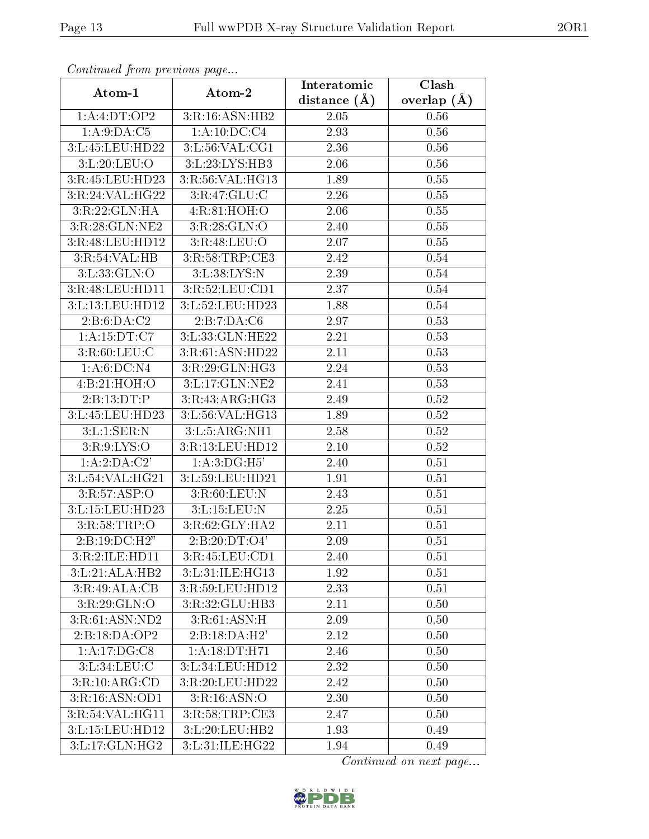| Continuea from previous page |                                    | Interatomic      | Clash         |
|------------------------------|------------------------------------|------------------|---------------|
| Atom-1                       | Atom-2                             | distance $(\AA)$ | overlap $(A)$ |
| 1:A:4:DT:OP2                 | 3:R:16:ASN:HB2                     | 2.05             | 0.56          |
| 1: A:9:DA:C5                 | 1:A:10:DC:C4                       | 2.93             | 0.56          |
| 3:L:45:LEU:HD22              | 3: L: 56: VAL: CG1                 | 2.36             | 0.56          |
| 3:L:20:LEU:O                 | 3:L:23:LYS:HB3                     | 2.06             | 0.56          |
| 3:R:45:LEU:HD23              | 3:R:56:VAL:HG13                    | 1.89             | 0.55          |
| 3:R:24:VAL:HG22              | 3:R:47:GLU:C                       | 2.26             | 0.55          |
| 3:R:22:GLN:HA                | 4:R:81:HOH:O                       | 2.06             | $0.55\,$      |
| 3:R:28:GLN:NE2               | 3:R:28:GLN:O                       | 2.40             | 0.55          |
| 3:R:48:LEU:HD12              | 3:R:48:LEU:O                       | 2.07             | 0.55          |
| 3:R:54:VAL:HB                | 3:R:58:TRP:CE3                     | 2.42             | $0.54\,$      |
| 3: L: 33: GLN:O              | 3: L: 38: LYS: N                   | 2.39             | 0.54          |
| 3:R:48:LEU:HD11              | 3:R:52:LEU:CD1                     | 2.37             | 0.54          |
| 3:L:13:LEU:HD12              | 3:L:52:LEU:HD23                    | 1.88             | 0.54          |
| 2:B:6:DA:C2                  | 2:B:7:DA:C6                        | 2.97             | 0.53          |
| 1:A:15:DT:C7                 | 3:L:33:GLN:HE22                    | 2.21             | 0.53          |
| 3:R:60:LEU:C                 | 3:R:61:ASN:HD22                    | 2.11             | 0.53          |
| $1:A:6:\overline{DC:N4}$     | 3:R:29:GLN:HG3                     | 2.24             | 0.53          |
| 4:B:21:HOH:O                 | $3:L:17:GLN:\overline{\text{NE2}}$ | 2.41             | 0.53          |
| 2:B:13:DT:P                  | $3:R:43:\overline{ARG:HG3}$        | 2.49             | $0.52\,$      |
| 3:L:45:LEU:HD23              | 3:L:56:VAL:HG13                    | 1.89             | 0.52          |
| 3:L:1:SER:N                  | 3:L:5:ARG:NH1                      | 2.58             | 0.52          |
| 3:R:9:LYS:O                  | 3:R:13:LEU:HD12                    | 2.10             | 0.52          |
| 1:A:2:DA:C2'                 | 1: A:3:DG:H5'                      | 2.40             | 0.51          |
| 3:L:54:VAL:HG21              | 3:L:59:LEU:HD21                    | 1.91             | 0.51          |
| 3:R:57:ASP:O                 | 3:R:60:LEU:N                       | 2.43             | 0.51          |
| 3:L:15:LEU:HD23              | 3:L:15:LEU:N                       | 2.25             | 0.51          |
| 3:R:58:TRP:O                 | 3:R:62:GLY:HA2                     | 2.11             | 0.51          |
| 2:Bi:19:DC:H2"               | 2:B:20:DT:O4'                      | 2.09             | 0.51          |
| 3:R:2:ILE:HD11               | 3:R:45:LEU:CD1                     | 2.40             | 0.51          |
| 3:L:21:ALA:HB2               | 3:L:31:ILE:HG13                    | 1.92             | 0.51          |
| 3:R:49:ALA:CB                | 3:R:59:LEU:HD12                    | 2.33             | 0.51          |
| 3:R:29:GLN:O                 | 3:R:32:GLU:HB3                     | 2.11             | 0.50          |
| 3:R:61:ASN:ND2               | $3:R:61:\overline{\text{ASN:H}}$   | 2.09             | 0.50          |
| 2:B:18:DA:OP2                | 2:B:18:DA:H2'                      | 2.12             | 0.50          |
| 1:A:17:DG:CS                 | 1:A:18:DT:H71                      | 2.46             | 0.50          |
| 3:L:34:LEU:C                 | 3:L:34:LEU:HD12                    | 2.32             | 0.50          |
| 3:R:10:ARG:CD                | 3:R:20:LEU:HD22                    | 2.42             | 0.50          |
| 3:R:16:ASN:OD1               | 3:R:16:ASN:O                       | 2.30             | 0.50          |
| 3:R:54:VAL:HG11              | $3:$ R:58:TRP:CE3                  | 2.47             | 0.50          |
| 3:L:15:LEU:HD12              | 3:L:20:LEU:HB2                     | 1.93             | 0.49          |
| $3:L:17:GLN:\overline{HG2}$  | 3: L:31: ILE:HG22                  | 1.94             | 0.49          |

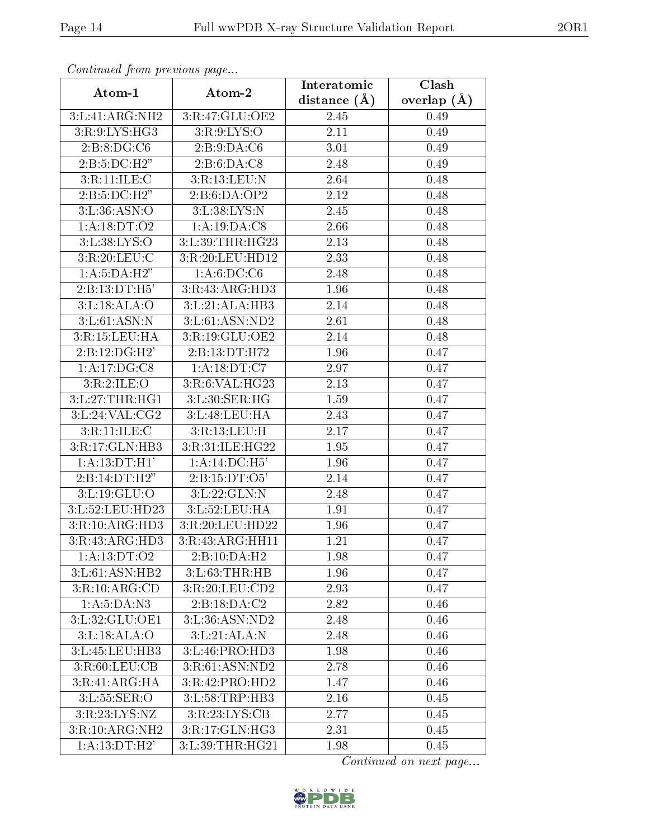| сонинией јтоні ртетоиз раде      |                    | Interatomic    | Clash         |
|----------------------------------|--------------------|----------------|---------------|
| Atom-1                           | Atom-2             | distance $(A)$ | overlap $(A)$ |
| 3:L:41:ARG:NH2                   | 3:R:47:GLU:OE2     | 2.45           | 0.49          |
| 3:R:9:LYS:HG3                    | 3:R:9:LYS:O        | 2.11           | 0.49          |
| 2: B: 8: DG: C6                  | 2: B: 9:D A: C6    | 3.01           | 0.49          |
| 2:B:5:DC:H2"                     | 2:B:6:DA:C8        | 2.48           | 0.49          |
| $3:R:11:\overline{\text{ILE}:C}$ | 3:R:13:LEU:N       | 2.64           | 0.48          |
| 2:B:5:DC:H2"                     | 2:B:6:DA:OP2       | 2.12           | 0.48          |
| 3: L: 36: ASN:O                  | 3: L: 38: LYS: N   | 2.45           | 0.48          |
| 1:A:18:DT:O2                     | 1:A:19:DA:C8       | 2.66           | 0.48          |
| 3:L:38:LYS:O                     | 3:L:39:THR:HG23    | 2.13           | 0.48          |
| 3:R:20:LEU:C                     | 3:R:20:LEU:HD12    | 2.33           | 0.48          |
| 1:A:5:DA:H2"                     | 1: A:6:DC:CG       | 2.48           | 0.48          |
| 2:B:13:DT:H5'                    | 3:R:43:ARG:HD3     | 1.96           | 0.48          |
| 3: L: 18: ALA: O                 | 3:L:21:ALA:HB3     | 2.14           | 0.48          |
| 3: L:61: ASN: N                  | 3:L:61:ASN:ND2     | 2.61           | 0.48          |
| 3:R:15:LEU:HA                    | 3:R:19:GLU:OE2     | 2.14           | 0.48          |
| $2:B:12:DG:\overline{H2'}$       | 2:B:13:DT:H72      | 1.96           | 0.47          |
| 1:A:17:DG:CS                     | 1: A: 18: DT: C7   | 2.97           | 0.47          |
| 3:R:2:ILE:O                      | 3:R:6:VAL:HG23     | 2.13           | 0.47          |
| 3:L:27:THR:HG1                   | 3: L:30: SER: HG   | 1.59           | 0.47          |
| 3:L:24:VAL:CG2                   | 3:L:48:LEU:HA      | 2.43           | 0.47          |
| 3:R:11:ILE:C                     | 3:R:13:LEU:H       | 2.17           | 0.47          |
| 3:R:17:GLN:HB3                   | 3:R:31:ILE:HG22    | 1.95           | 0.47          |
| 1:A:13:DT:H1'                    | 1:A:14:DC:H5'      | 1.96           | 0.47          |
| 2:B:14:DT:H2"                    | 2:B:15:DT:O5'      | 2.14           | 0.47          |
| 3:L:19:GLU:O                     | 3:L:22:GLN:N       | 2.48           | 0.47          |
| 3:L:52:LEU:HD23                  | 3: L: 52: LEU: HA  | 1.91           | 0.47          |
| 3:R:10:ARG:HD3                   | 3:R:20:LEU:HD22    | 1.96           | 0.47          |
| 3:R:43:ARG:HD3                   | 3:R:43:ARG:HH11    | 1.21           | 0.47          |
| 1:A:13:DT:O2                     | 2:B:10:DA:H2       | 1.98           | 0.47          |
| 3:L:61:ASN:HB2                   | 3: L: 63: THR: HB  | 1.96           | 0.47          |
| 3:R:10:ARG:CD                    | 3:R:20:LEU:CD2     | 2.93           | 0.47          |
| 1:A:5:DA:N3                      | 2:B:18:DA:C2       | 2.82           | 0.46          |
| 3:L:32:GLU:OE1                   | 3: L: 36: ASN: ND2 | 2.48           | 0.46          |
| 3: L: 18: ALA: O                 | 3:L:21:ALA:N       | 2.48           | 0.46          |
| 3:L:45:LEU:HB3                   | 3: L: 46: PRO: HD3 | 1.98           | 0.46          |
| 3:R:60:LEU:CB                    | 3:R:61:ASN:ND2     | 2.78           | 0.46          |
| 3:R:41:ARG:HA                    | 3:R:42:PRO:HD2     | 1.47           | 0.46          |
| 3:L:55:SER:O                     | 3:L:58:TRP:HB3     | 2.16           | 0.45          |
| 3:R:23:LYS:NZ                    | 3:R:23:LYS:CB      | 2.77           | 0.45          |
| 3:R:10:ARG:NH2                   | 3:R:17:GLN:HG3     | 2.31           | 0.45          |
| 1:A:13:DT:H2'                    | 3:L:39:THR:HG21    | 1.98           | 0.45          |

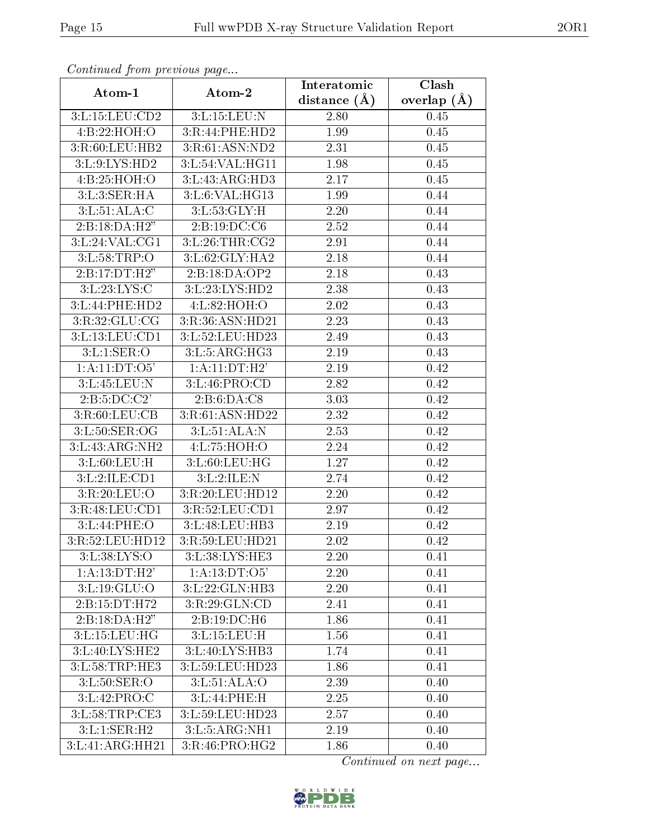| Continuea from previous page |                    | Interatomic    | Clash         |
|------------------------------|--------------------|----------------|---------------|
| Atom-1                       | Atom-2             | distance $(A)$ | overlap $(A)$ |
| 3:L:15:LEU:CD2               | 3:L:15:LEU:N       | 2.80           | 0.45          |
| 4:B:22:HOH:O                 | 3:R:44:PHE:HD2     | 1.99           | 0.45          |
| 3:R:60:LEU:HB2               | 3:R:61:ASN:ND2     | 2.31           | 0.45          |
| 3:L:9:LYS:HD2                | 3:L:54:VAL:HG11    | 1.98           | 0.45          |
| 4:B:25:HOH:O                 | 3:L:43:ARG:HD3     | 2.17           | 0.45          |
| 3:L:3:SER:HA                 | 3:L:6:VAL:HG13     | 1.99           | 0.44          |
| 3: L:51: ALA: C              | 3: L: 53: GLY: H   | 2.20           | 0.44          |
| 2:B:18:DA:H2"                | 2:B:19:DC:C6       | 2.52           | 0.44          |
| 3:L:24:VAL:CG1               | 3:L:26:THR:CG2     | 2.91           | 0.44          |
| 3: L:58:TRP:O                | 3:L:62:GLY:HA2     | 2.18           | 0.44          |
| 2:B:17:DT:H2"                | 2:B:18:DA:OP2      | 2.18           | 0.43          |
| 3: L: 23: LYS:C              | 3: L: 23: LYS: HD2 | 2.38           | 0.43          |
| 3:L:44:PHE:HD2               | 4:L:82:HOH:O       | 2.02           | 0.43          |
| 3:R:32:GLU:CG                | 3:R:36:ASN:HD21    | 2.23           | 0.43          |
| 3:L:13:LEU:CD1               | 3:L:52:LEU:HD23    | 2.49           | 0.43          |
| 3: L: 1: SER: O              | 3: L: 5: ARG:HG3   | 2.19           | 0.43          |
| 1: A: 11: DT: O5'            | 1: A:11:DT:H2'     | 2.19           | 0.42          |
| 3:L:45:LEU:N                 | 3:L:46:PRO:CD      | 2.82           | 0.42          |
| 2: B: 5: DC: C2'             | 2: B:6:DA:CS       | 3.03           | 0.42          |
| 3:R:60:LEU:CB                | 3:R:61:ASN:HD22    | 2.32           | 0.42          |
| 3:L:50:SER:OG                | 3:L:51:ALA:N       | 2.53           | 0.42          |
| 3: L: 43: ARG: NH2           | 4: L: 75: HOH: O   | 2.24           | 0.42          |
| 3: L:60: LEU:H               | 3:L:60:LEU:HG      | 1.27           | 0.42          |
| 3:L:2:ILE:CD1                | 3:L:2:ILE:N        | 2.74           | 0.42          |
| 3:R:20:LEU:O                 | 3:R:20:LEU:HD12    | 2.20           | 0.42          |
| 3:R:48:LEU:CD1               | 3:R:52:LEU:CD1     | 2.97           | 0.42          |
| 3:L:44:PHE:O                 | 3:L:48:LEU:HB3     | 2.19           | 0.42          |
| 3:R:52:LEU:HD12              | 3:R:59:LEU:HD21    | 2.02           | 0.42          |
| 3:L:38:LYS:O                 | 3:L:38:LYS:HE3     | 2.20           | 0.41          |
| 1:A:13:DT:H2'                | 1: A: 13: DT: O5'  | 2.20           | 0.41          |
| 3: L: 19: GLU: O             | 3: L: 22: GLN: HB3 | 2.20           | 0.41          |
| 2:B:15:DT:H72                | 3:R:29:GLN:CD      | 2.41           | 0.41          |
| 2:B:18:DA:H2"                | 2:B:19:DC:H6       | 1.86           | 0.41          |
| 3:L:15:LEU:HG                | 3:L:15:LEU:H       | 1.56           | 0.41          |
| 3:L:40:LYS:HE2               | 3:L:40:LYS:HB3     | 1.74           | 0.41          |
| 3:L:58:TRP:HE3               | 3:L:59:LEU:HD23    | 1.86           | 0.41          |
| 3: L: 50: SER: O             | 3: L: 51: ALA: O   | 2.39           | 0.40          |
| 3:L:42:PRO:C                 | 3:L:44:PHE:H       | 2.25           | 0.40          |
| 3:L:58:TRP:CE3               | 3:L:59:LEU:HD23    | 2.57           | 0.40          |
| 3:L:1:SER:H2                 | 3:L:5:ARG:NH1      | 2.19           | 0.40          |
| 3:L:41:ARG:HH21              | 3:R:46:PRO:HG2     | 1.86           | 0.40          |

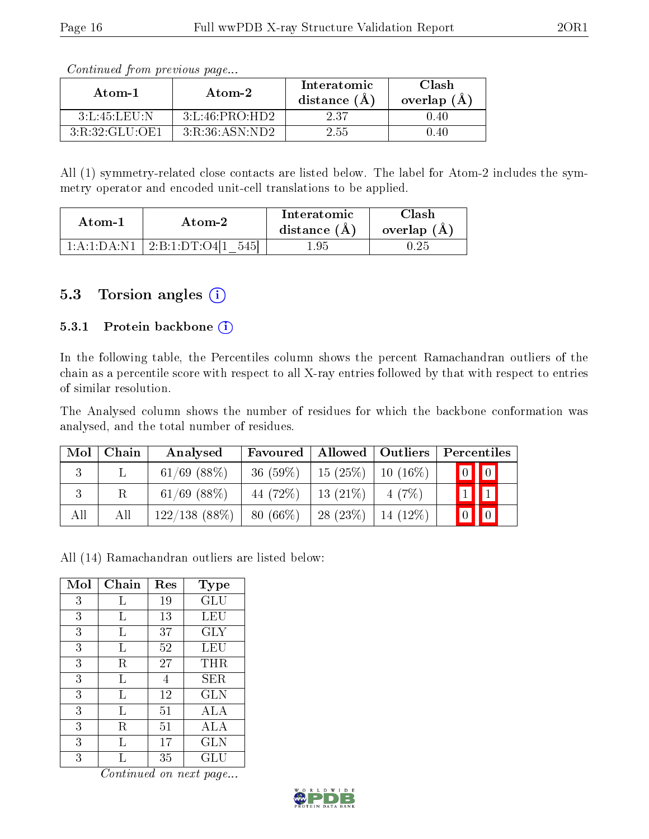| Continued from previous page |                    |                               |                        |
|------------------------------|--------------------|-------------------------------|------------------------|
| Atom-1                       | Atom-2             | Interatomic<br>distance $(A)$ | Clash<br>overlap $(A)$ |
| 3:L:45:LEU:N                 | 3: L: 46: PRO: HD2 | 237                           | .40                    |

Continued from previous page

All (1) symmetry-related close contacts are listed below. The label for Atom-2 includes the symmetry operator and encoded unit-cell translations to be applied.

| Atom-1      | Atom-2         | Interatomic<br>distance $(A)$ | `lash<br>overlap $(A)$ |
|-------------|----------------|-------------------------------|------------------------|
| 1:A:1:DA:N1 | 2:B:1:DT:O4[1] | 1.95                          |                        |

3:R:32:GLU:OE1 | 3:R:36:ASN:ND2 | 2.55 | 0.40

#### 5.3 Torsion angles (i)

#### 5.3.1 Protein backbone  $(i)$

In the following table, the Percentiles column shows the percent Ramachandran outliers of the chain as a percentile score with respect to all X-ray entries followed by that with respect to entries of similar resolution.

The Analysed column shows the number of residues for which the backbone conformation was analysed, and the total number of residues.

| Mol | Chain | Analysed         | Favoured   | Allowed    | $\mid$ Outliers $\mid$ | Percentiles                      |
|-----|-------|------------------|------------|------------|------------------------|----------------------------------|
| 3   |       | $61/69$ $(88\%)$ | $36(59\%)$ | 15 $(25%)$ | $10(16\%)$             | $\boxed{0}$ $\boxed{0}$          |
| 3   | R     | $61/69$ $(88\%)$ | 44 (72\%)  | $13(21\%)$ | 4(7%)                  | $\boxed{1}$<br>$\mathbf{I}$      |
| All | All   | $122/138$ (88\%) | $80(66\%)$ | 28(23%)    | $14(12\%)$             | $\boxed{0}$<br>$\lceil 0 \rceil$ |

All (14) Ramachandran outliers are listed below:

| Mol | Chain | Res | Type                 |
|-----|-------|-----|----------------------|
| 3   | Τ,    | 19  | $\operatorname{GLU}$ |
| 3   | Ь     | 13  | LEU                  |
| 3   | L     | 37  | $\rm GLY$            |
| 3   | L     | 52  | LEU                  |
| 3   | R     | 27  | $\rm THR$            |
| 3   | L     | 4   | SER                  |
| 3   | L     | 12  | <b>GLN</b>           |
| 3   | L     | 51  | ALA                  |
| 3   | R     | 51  | ALA                  |
| 3   | L     | 17  | <b>GLN</b>           |
| 3   |       | 35  | GLU                  |

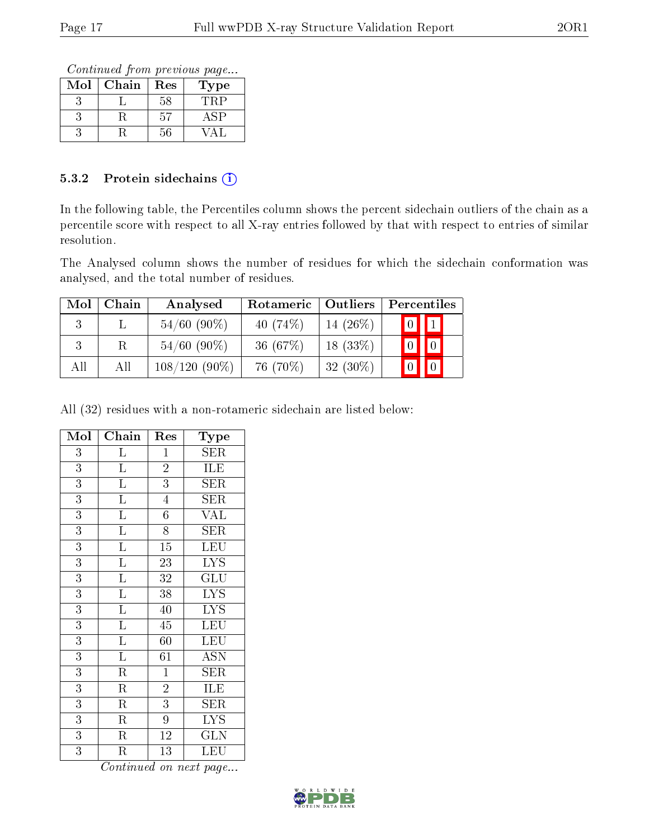Continued from previous page...

| $\operatorname{Mol}$ | Chain | $\operatorname{Res}% \left( \mathcal{N}\right) \equiv\operatorname{Res}(\mathcal{N}_{0})\cap\mathcal{N}_{1}$ | $_{\rm Type}$ |
|----------------------|-------|--------------------------------------------------------------------------------------------------------------|---------------|
|                      |       | 58                                                                                                           |               |
|                      |       | 57                                                                                                           |               |
|                      |       | 56                                                                                                           |               |

#### 5.3.2 Protein sidechains (i)

In the following table, the Percentiles column shows the percent sidechain outliers of the chain as a percentile score with respect to all X-ray entries followed by that with respect to entries of similar resolution.

The Analysed column shows the number of residues for which the sidechain conformation was analysed, and the total number of residues.

| Mol | Chain | Analysed        | Rotameric   | <b>Outliers</b> |  | Percentiles                                                      |  |
|-----|-------|-----------------|-------------|-----------------|--|------------------------------------------------------------------|--|
|     |       | $54/60$ (90%)   | 40 $(74\%)$ | 14 $(26\%)$     |  | $\boxed{0}$ $\boxed{1}$                                          |  |
| 3   |       | $54/60$ (90%)   | 36 $(67%)$  | $18(33\%)$      |  | $\begin{bmatrix} 0 \\ 0 \\ 0 \\ 0 \\ 0 \\ 0 \\ 0 \\ 0 \\ 0 \\ 0$ |  |
| All | All   | $108/120(90\%)$ | 76 (70\%)   | $32(30\%)$      |  | $\boxed{0}$                                                      |  |

All (32) residues with a non-rotameric sidechain are listed below:

| Mol            | Chain                   | Res                        | Type                            |
|----------------|-------------------------|----------------------------|---------------------------------|
| $\overline{3}$ | Г                       | $\mathbf{1}$               | SER                             |
| 3              | L                       | $\overline{2}$             | ILE                             |
| 3              | Г                       | 3                          | ${\rm SER}$                     |
| $\overline{3}$ | $\overline{L}$          | $\overline{4}$             | ${\rm SER}$                     |
| 3              | $\Gamma$                | $\overline{6}$             | <b>VAL</b>                      |
| $\overline{3}$ | $\overline{\mathrm{L}}$ | $\overline{8}$             | <b>SER</b>                      |
| 3              | $\Gamma$                | 15                         | LEU                             |
| $\overline{3}$ | $\overline{\mathrm{L}}$ | 23                         | $\overline{\text{LYS}}$         |
| $\overline{3}$ | $\overline{L}$          | $\overline{3}\overline{2}$ | GLU                             |
| 3              | $\overline{\mathrm{L}}$ | 38                         | <b>LYS</b>                      |
| $\overline{3}$ | $\overline{\mathrm{L}}$ | 40                         | $\overline{\text{L} \text{YS}}$ |
| 3              | $\overline{\mathrm{L}}$ | 45                         | LEU                             |
| $\overline{3}$ | $\overline{\mathrm{L}}$ | 60                         | $\overline{\text{LEU}}$         |
| 3              | L                       | 61                         | <b>ASN</b>                      |
| 3              | $\rm R$                 | $\mathbf{1}$               | $\rm{SER}$                      |
| 3              | $\overline{\mathrm{R}}$ | $\overline{2}$             | <b>ILE</b>                      |
| 3              | $\rm R$                 | 3                          | $\rm{SER}$                      |
| $\overline{3}$ | $\overline{\mathrm{R}}$ | $\overline{9}$             | $\overline{\text{LYS}}$         |
| 3              | R                       | 12                         | <b>GLN</b>                      |
| 3              | R                       | 13                         | LEU                             |

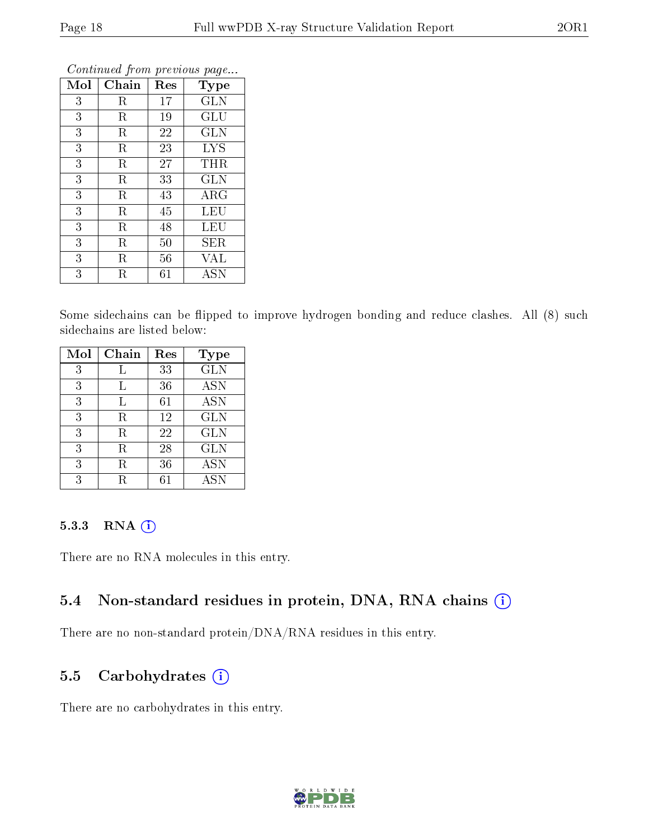| Mol | Chain       | Res | Type                 |
|-----|-------------|-----|----------------------|
| 3   | R           | 17  | GLN                  |
| 3   | R           | 19  | GLU                  |
| 3   | $\rm R$     | 22  | <b>GLN</b>           |
| 3   | $\mathbf R$ | 23  | <b>LYS</b>           |
| 3   | R           | 27  | <b>THR</b>           |
| 3   | R           | 33  | <b>GLN</b>           |
| 3   | R           | 43  | $\rm{ARG}$           |
| 3   | R           | 45  | LEU                  |
| 3   | R           | 48  | LEU                  |
| 3   | R           | 50  | SER                  |
| 3   | R           | 56  | VAL                  |
| 3   | R           | 61  | $\operatorname{ASN}$ |

Some sidechains can be flipped to improve hydrogen bonding and reduce clashes. All (8) such sidechains are listed below:

| Mol | Chain | Res | <b>Type</b> |
|-----|-------|-----|-------------|
| 3   | L     | 33  | <b>GLN</b>  |
| 3   | L     | 36  | <b>ASN</b>  |
| 3   | L     | 61  | <b>ASN</b>  |
| 3   | R     | 12  | <b>GLN</b>  |
| 3   | R     | 22  | <b>GLN</b>  |
| 3   | R     | 28  | <b>GLN</b>  |
| 3   | R     | 36  | <b>ASN</b>  |
| 3   |       |     | <b>ASN</b>  |

#### 5.3.3 RNA [O](https://www.wwpdb.org/validation/2017/XrayValidationReportHelp#rna)i

There are no RNA molecules in this entry.

#### 5.4 Non-standard residues in protein, DNA, RNA chains (i)

There are no non-standard protein/DNA/RNA residues in this entry.

#### 5.5 Carbohydrates  $(i)$

There are no carbohydrates in this entry.

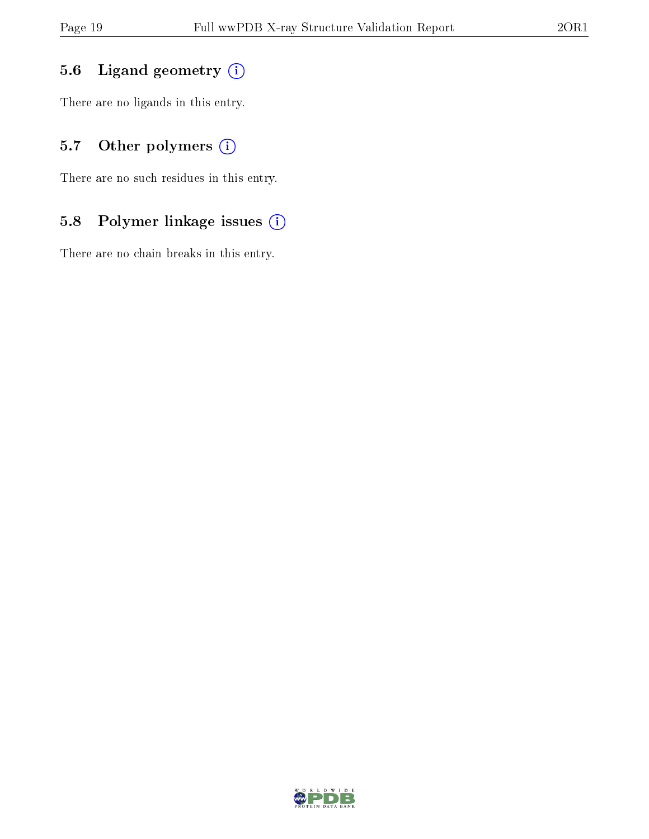## 5.6 Ligand geometry (i)

There are no ligands in this entry.

## 5.7 [O](https://www.wwpdb.org/validation/2017/XrayValidationReportHelp#nonstandard_residues_and_ligands)ther polymers (i)

There are no such residues in this entry.

## 5.8 Polymer linkage issues (i)

There are no chain breaks in this entry.